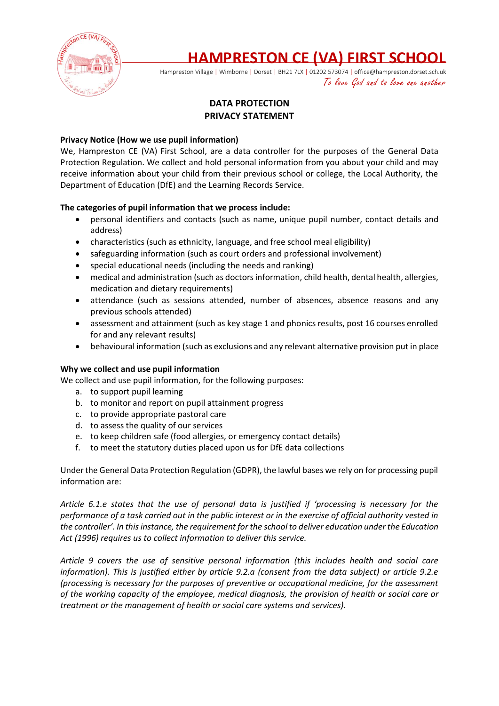

# **HAMPRESTON CE (VA) FIRST SCHOOL**

Hampreston Village | Wimborne | Dorset | BH21 7LX | 01202 573074 | office@hampreston.dorset.sch.uk To love God and to love one another

# **DATA PROTECTION PRIVACY STATEMENT**

## **Privacy Notice (How we use pupil information)**

We, Hampreston CE (VA) First School, are a data controller for the purposes of the General Data Protection Regulation. We collect and hold personal information from you about your child and may receive information about your child from their previous school or college, the Local Authority, the Department of Education (DfE) and the Learning Records Service.

## **The categories of pupil information that we process include:**

- personal identifiers and contacts (such as name, unique pupil number, contact details and address)
- characteristics (such as ethnicity, language, and free school meal eligibility)
- safeguarding information (such as court orders and professional involvement)
- special educational needs (including the needs and ranking)
- medical and administration (such as doctors information, child health, dental health, allergies, medication and dietary requirements)
- attendance (such as sessions attended, number of absences, absence reasons and any previous schools attended)
- assessment and attainment (such as key stage 1 and phonics results, post 16 courses enrolled for and any relevant results)
- behavioural information (such as exclusions and any relevant alternative provision put in place

## **Why we collect and use pupil information**

We collect and use pupil information, for the following purposes:

- a. to support pupil learning
- b. to monitor and report on pupil attainment progress
- c. to provide appropriate pastoral care
- d. to assess the quality of our services
- e. to keep children safe (food allergies, or emergency contact details)
- f. to meet the statutory duties placed upon us for DfE data collections

Under the General Data Protection Regulation (GDPR), the lawful bases we rely on for processing pupil information are:

*Article 6.1.e states that the use of personal data is justified if 'processing is necessary for the performance of a task carried out in the public interest or in the exercise of official authority vested in the controller'. In this instance, the requirement for the school to deliver education under the Education Act (1996) requires us to collect information to deliver this service.*

*Article 9 covers the use of sensitive personal information (this includes health and social care information). This is justified either by article 9.2.a (consent from the data subject) or article 9.2.e (processing is necessary for the purposes of preventive or occupational medicine, for the assessment of the working capacity of the employee, medical diagnosis, the provision of health or social care or treatment or the management of health or social care systems and services).*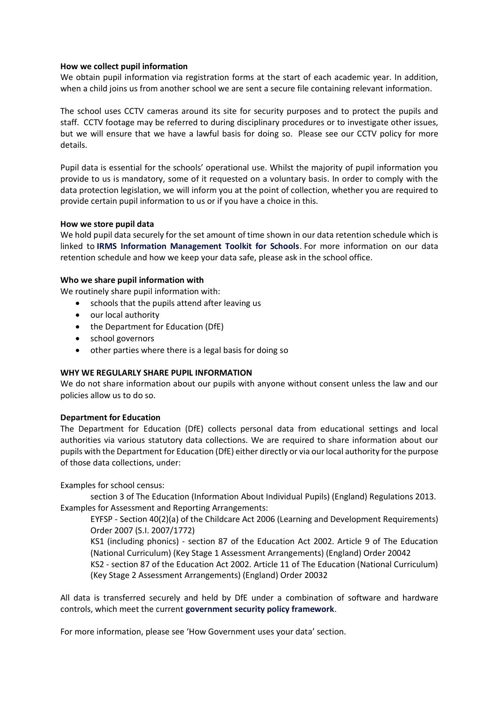#### **How we collect pupil information**

We obtain pupil information via registration forms at the start of each academic year. In addition, when a child joins us from another school we are sent a secure file containing relevant information.

The school uses CCTV cameras around its site for security purposes and to protect the pupils and staff. CCTV footage may be referred to during disciplinary procedures or to investigate other issues, but we will ensure that we have a lawful basis for doing so. Please see our CCTV policy for more details.

Pupil data is essential for the schools' operational use. Whilst the majority of pupil information you provide to us is mandatory, some of it requested on a voluntary basis. In order to comply with the data protection legislation, we will inform you at the point of collection, whether you are required to provide certain pupil information to us or if you have a choice in this.

#### **How we store pupil data**

We hold pupil data securely for the set amount of time shown in our data retention schedule which is linked to **[IRMS Information Management Toolkit for Schools](https://c.ymcdn.com/sites/irms.site-ym.com/resource/collection/8BCEF755-0353-4F66-9877-CCDA4BFEEAC4/2016_IRMS_Toolkit_for_Schools_v5_Master.pdf)**. For more information on our data retention schedule and how we keep your data safe, please ask in the school office.

#### **Who we share pupil information with**

We routinely share pupil information with:

- schools that the pupils attend after leaving us
- our local authority
- the Department for Education (DfE)
- school governors
- other parties where there is a legal basis for doing so

## **WHY WE REGULARLY SHARE PUPIL INFORMATION**

We do not share information about our pupils with anyone without consent unless the law and our policies allow us to do so.

## **Department for Education**

The Department for Education (DfE) collects personal data from educational settings and local authorities via various statutory data collections. We are required to share information about our pupils with the Department for Education (DfE) either directly or via our local authority for the purpose of those data collections, under:

Examples for school census:

section 3 of The Education (Information About Individual Pupils) (England) Regulations 2013. Examples for Assessment and Reporting Arrangements:

EYFSP - Section 40(2)(a) of the Childcare Act 2006 (Learning and Development Requirements) Order 2007 (S.I. 2007/1772)

KS1 (including phonics) - section 87 of the Education Act 2002. Article 9 of The Education (National Curriculum) (Key Stage 1 Assessment Arrangements) (England) Order 20042

KS2 - section 87 of the Education Act 2002. Article 11 of The Education (National Curriculum) (Key Stage 2 Assessment Arrangements) (England) Order 20032

All data is transferred securely and held by DfE under a combination of software and hardware controls, which meet the current **[government security policy framework](https://www.gov.uk/government/publications/security-policy-framework)**.

For more information, please see 'How Government uses your data' section.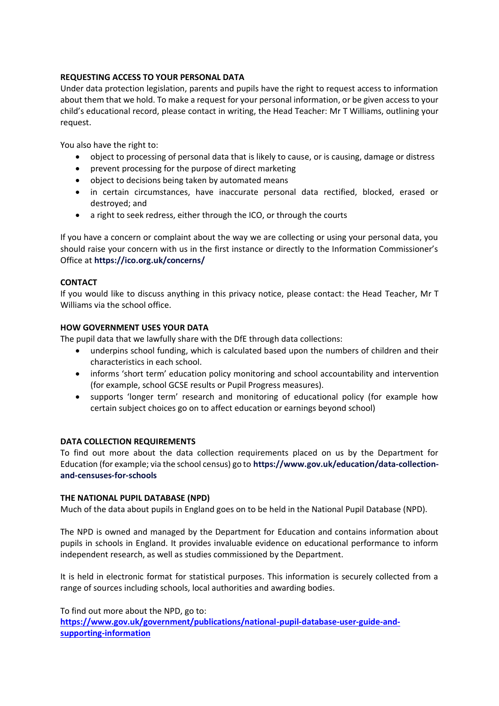## **REQUESTING ACCESS TO YOUR PERSONAL DATA**

Under data protection legislation, parents and pupils have the right to request access to information about them that we hold. To make a request for your personal information, or be given access to your child's educational record, please contact in writing, the Head Teacher: Mr T Williams, outlining your request.

You also have the right to:

- object to processing of personal data that is likely to cause, or is causing, damage or distress
- prevent processing for the purpose of direct marketing
- object to decisions being taken by automated means
- in certain circumstances, have inaccurate personal data rectified, blocked, erased or destroyed; and
- a right to seek redress, either through the ICO, or through the courts

If you have a concern or complaint about the way we are collecting or using your personal data, you should raise your concern with us in the first instance or directly to the Information Commissioner's Office at **<https://ico.org.uk/concerns/>**

## **CONTACT**

If you would like to discuss anything in this privacy notice, please contact: the Head Teacher, Mr T Williams via the school office.

## **HOW GOVERNMENT USES YOUR DATA**

The pupil data that we lawfully share with the DfE through data collections:

- underpins school funding, which is calculated based upon the numbers of children and their characteristics in each school.
- informs 'short term' education policy monitoring and school accountability and intervention (for example, school GCSE results or Pupil Progress measures).
- supports 'longer term' research and monitoring of educational policy (for example how certain subject choices go on to affect education or earnings beyond school)

## **DATA COLLECTION REQUIREMENTS**

To find out more about the data collection requirements placed on us by the Department for Education (for example; via the school census) go to **[https://www.gov.uk/education/data-collection](https://www.gov.uk/education/data-collection-and-censuses-for-schools)[and-censuses-for-schools](https://www.gov.uk/education/data-collection-and-censuses-for-schools)**

## **THE NATIONAL PUPIL DATABASE (NPD)**

Much of the data about pupils in England goes on to be held in the National Pupil Database (NPD).

The NPD is owned and managed by the Department for Education and contains information about pupils in schools in England. It provides invaluable evidence on educational performance to inform independent research, as well as studies commissioned by the Department.

It is held in electronic format for statistical purposes. This information is securely collected from a range of sources including schools, local authorities and awarding bodies.

To find out more about the NPD, go to:

**[https://www.gov.uk/government/publications/national-pupil-database-user-guide-and](https://www.gov.uk/government/publications/national-pupil-database-user-guide-and-supporting-information)[supporting-information](https://www.gov.uk/government/publications/national-pupil-database-user-guide-and-supporting-information)**